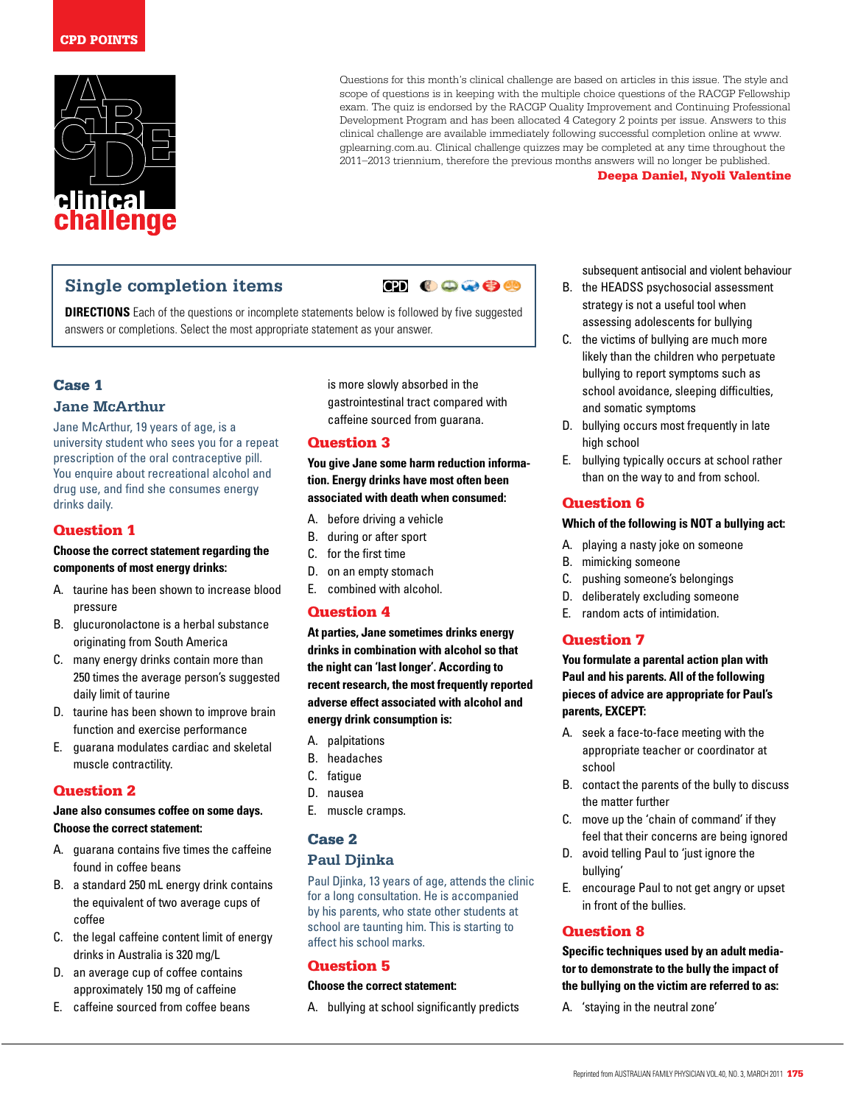

Questions for this month's clinical challenge are based on articles in this issue. The style and scope of questions is in keeping with the multiple choice questions of the RACGP Fellowship exam. The quiz is endorsed by the RACGP Quality Improvement and Continuing Professional Development Program and has been allocated 4 Category 2 points per issue. Answers to this clinical challenge are available immediately following successful completion online at www. gplearning.com.au. Clinical challenge quizzes may be completed at any time throughout the 2011–2013 triennium, therefore the previous months answers will no longer be published.

#### Deepa Daniel, Nyoli Valentine

# **Single completion items**



**DIRECTIONS** Each of the questions or incomplete statements below is followed by five suggested answers or completions. Select the most appropriate statement as your answer.

## Case 1

#### **Jane McArthur**

Jane McArthur, 19 years of age, is a university student who sees you for a repeat prescription of the oral contraceptive pill. You enquire about recreational alcohol and drug use, and find she consumes energy drinks daily.

## Question 1

#### **Choose the correct statement regarding the components of most energy drinks:**

- A. taurine has been shown to increase blood pressure
- B. glucuronolactone is a herbal substance originating from South America
- C. many energy drinks contain more than 250 times the average person's suggested daily limit of taurine
- D. taurine has been shown to improve brain function and exercise performance
- E. guarana modulates cardiac and skeletal muscle contractility.

## Question 2

#### **Jane also consumes coffee on some days. Choose the correct statement:**

- A. guarana contains five times the caffeine found in coffee beans
- B. a standard 250 mL energy drink contains the equivalent of two average cups of coffee
- C. the legal caffeine content limit of energy drinks in Australia is 320 mg/L
- D. an average cup of coffee contains approximately 150 mg of caffeine
- E. caffeine sourced from coffee beans

is more slowly absorbed in the gastrointestinal tract compared with caffeine sourced from guarana.

## Question 3

**You give Jane some harm reduction information. Energy drinks have most often been associated with death when consumed:**

- A. before driving a vehicle
- B. during or after sport
- C. for the first time
- D. on an empty stomach
- E. combined with alcohol.

## Question 4

**At parties, Jane sometimes drinks energy drinks in combination with alcohol so that the night can 'last longer'. According to recent research, the most frequently reported adverse effect associated with alcohol and energy drink consumption is:** 

- A. palpitations
- B. headaches
- C. fatigue
- D. nausea
- E. muscle cramps.

## Case 2

## **Paul Djinka**

Paul Djinka, 13 years of age, attends the clinic for a long consultation. He is accompanied by his parents, who state other students at school are taunting him. This is starting to affect his school marks.

## Question 5

## **Choose the correct statement:**

A. bullying at school significantly predicts

subsequent antisocial and violent behaviour

- B. the HEADSS psychosocial assessment strategy is not a useful tool when assessing adolescents for bullying
- C. the victims of bullying are much more likely than the children who perpetuate bullying to report symptoms such as school avoidance, sleeping difficulties, and somatic symptoms
- D. bullying occurs most frequently in late high school
- E. bullying typically occurs at school rather than on the way to and from school.

## Question 6

#### **Which of the following is NOT a bullying act:**

- A. playing a nasty joke on someone
- B. mimicking someone
- C. pushing someone's belongings
- D. deliberately excluding someone
- E. random acts of intimidation.

## Question 7

**You formulate a parental action plan with Paul and his parents. All of the following pieces of advice are appropriate for Paul's parents, EXCEPT:**

- A. seek a face-to-face meeting with the appropriate teacher or coordinator at school
- B. contact the parents of the bully to discuss the matter further
- C. move up the 'chain of command' if they feel that their concerns are being ignored
- D. avoid telling Paul to 'just ignore the bullying'
- E. encourage Paul to not get angry or upset in front of the bullies.

## Question 8

**Specific techniques used by an adult mediator to demonstrate to the bully the impact of the bullying on the victim are referred to as:**

A. 'staying in the neutral zone'